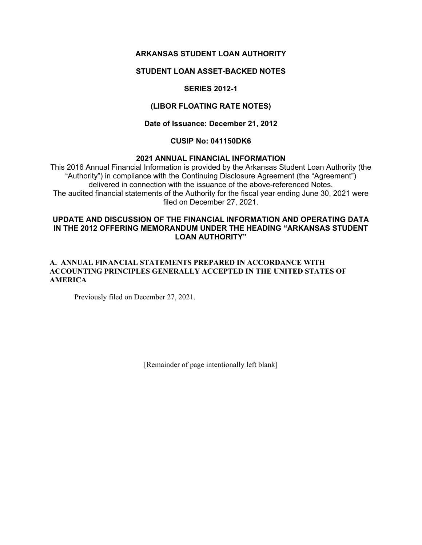# **ARKANSAS STUDENT LOAN AUTHORITY**

## **STUDENT LOAN ASSET-BACKED NOTES**

# **SERIES 2012-1**

## **(LIBOR FLOATING RATE NOTES)**

### **Date of Issuance: December 21, 2012**

## **CUSIP No: 041150DK6**

#### **2021 ANNUAL FINANCIAL INFORMATION**

This 2016 Annual Financial Information is provided by the Arkansas Student Loan Authority (the "Authority") in compliance with the Continuing Disclosure Agreement (the "Agreement") delivered in connection with the issuance of the above-referenced Notes. The audited financial statements of the Authority for the fiscal year ending June 30, 2021 were filed on December 27, 2021.

## **UPDATE AND DISCUSSION OF THE FINANCIAL INFORMATION AND OPERATING DATA IN THE 2012 OFFERING MEMORANDUM UNDER THE HEADING "ARKANSAS STUDENT LOAN AUTHORITY"**

#### **A. ANNUAL FINANCIAL STATEMENTS PREPARED IN ACCORDANCE WITH ACCOUNTING PRINCIPLES GENERALLY ACCEPTED IN THE UNITED STATES OF AMERICA**

Previously filed on December 27, 2021.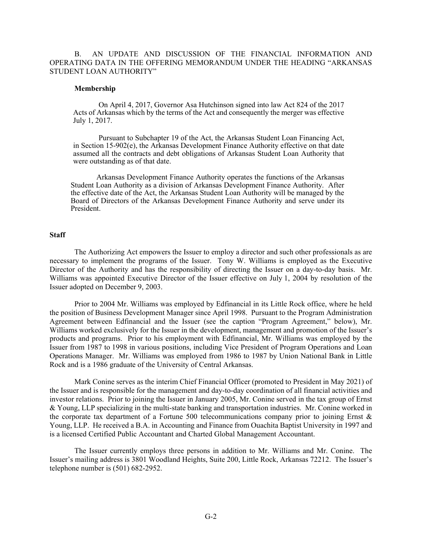B. AN UPDATE AND DISCUSSION OF THE FINANCIAL INFORMATION AND OPERATING DATA IN THE OFFERING MEMORANDUM UNDER THE HEADING "ARKANSAS STUDENT LOAN AUTHORITY"

#### **Membership**

On April 4, 2017, Governor Asa Hutchinson signed into law Act 824 of the 2017 Acts of Arkansas which by the terms of the Act and consequently the merger was effective July 1, 2017.

Pursuant to Subchapter 19 of the Act, the Arkansas Student Loan Financing Act, in Section 15-902(e), the Arkansas Development Finance Authority effective on that date assumed all the contracts and debt obligations of Arkansas Student Loan Authority that were outstanding as of that date.

Arkansas Development Finance Authority operates the functions of the Arkansas Student Loan Authority as a division of Arkansas Development Finance Authority. After the effective date of the Act, the Arkansas Student Loan Authority will be managed by the Board of Directors of the Arkansas Development Finance Authority and serve under its President.

#### **Staff**

The Authorizing Act empowers the Issuer to employ a director and such other professionals as are necessary to implement the programs of the Issuer. Tony W. Williams is employed as the Executive Director of the Authority and has the responsibility of directing the Issuer on a day-to-day basis. Mr. Williams was appointed Executive Director of the Issuer effective on July 1, 2004 by resolution of the Issuer adopted on December 9, 2003.

Prior to 2004 Mr. Williams was employed by Edfinancial in its Little Rock office, where he held the position of Business Development Manager since April 1998. Pursuant to the Program Administration Agreement between Edfinancial and the Issuer (see the caption "Program Agreement," below), Mr. Williams worked exclusively for the Issuer in the development, management and promotion of the Issuer's products and programs. Prior to his employment with Edfinancial, Mr. Williams was employed by the Issuer from 1987 to 1998 in various positions, including Vice President of Program Operations and Loan Operations Manager. Mr. Williams was employed from 1986 to 1987 by Union National Bank in Little Rock and is a 1986 graduate of the University of Central Arkansas.

Mark Conine serves as the interim Chief Financial Officer (promoted to President in May 2021) of the Issuer and is responsible for the management and day-to-day coordination of all financial activities and investor relations. Prior to joining the Issuer in January 2005, Mr. Conine served in the tax group of Ernst & Young, LLP specializing in the multi-state banking and transportation industries. Mr. Conine worked in the corporate tax department of a Fortune 500 telecommunications company prior to joining Ernst & Young, LLP. He received a B.A. in Accounting and Finance from Ouachita Baptist University in 1997 and is a licensed Certified Public Accountant and Charted Global Management Accountant.

The Issuer currently employs three persons in addition to Mr. Williams and Mr. Conine. The Issuer's mailing address is 3801 Woodland Heights, Suite 200, Little Rock, Arkansas 72212. The Issuer's telephone number is (501) 682-2952.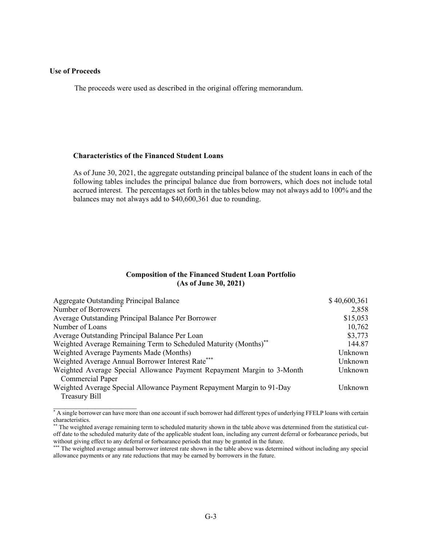#### **Use of Proceeds**

 $\mathcal{L}=\{1,2,3,4,5\}$ 

The proceeds were used as described in the original offering memorandum.

#### **Characteristics of the Financed Student Loans**

As of June 30, 2021, the aggregate outstanding principal balance of the student loans in each of the following tables includes the principal balance due from borrowers, which does not include total accrued interest. The percentages set forth in the tables below may not always add to 100% and the balances may not always add to \$40,600,361 due to rounding.

#### **Composition of the Financed Student Loan Portfolio (As of June 30, 2021)**

| Aggregate Outstanding Principal Balance                                      | \$40,600,361 |
|------------------------------------------------------------------------------|--------------|
| Number of Borrowers <sup>®</sup>                                             | 2,858        |
| Average Outstanding Principal Balance Per Borrower                           | \$15,053     |
| Number of Loans                                                              | 10,762       |
| Average Outstanding Principal Balance Per Loan                               | \$3,773      |
| Weighted Average Remaining Term to Scheduled Maturity (Months) <sup>**</sup> | 144.87       |
| Weighted Average Payments Made (Months)                                      | Unknown      |
| Weighted Average Annual Borrower Interest Rate***                            | Unknown      |
| Weighted Average Special Allowance Payment Repayment Margin to 3-Month       | Unknown      |
| <b>Commercial Paper</b>                                                      |              |
| Weighted Average Special Allowance Payment Repayment Margin to 91-Day        | Unknown      |
| Treasury Bill                                                                |              |

<sup>\*</sup> A single borrower can have more than one account if such borrower had different types of underlying FFELP loans with certain characteristics.

<sup>\*\*</sup> The weighted average remaining term to scheduled maturity shown in the table above was determined from the statistical cutoff date to the scheduled maturity date of the applicable student loan, including any current deferral or forbearance periods, but without giving effect to any deferral or forbearance periods that may be granted in the future.

<sup>\*\*\*</sup> The weighted average annual borrower interest rate shown in the table above was determined without including any special allowance payments or any rate reductions that may be earned by borrowers in the future.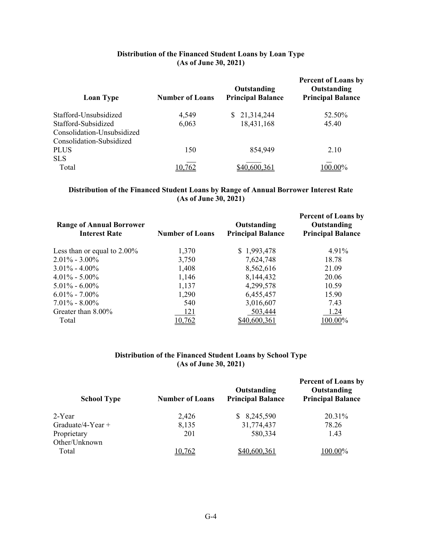# **Distribution of the Financed Student Loans by Loan Type (As of June 30, 2021)**

| <b>Number of Loans</b> | Outstanding<br><b>Principal Balance</b> | <b>Percent of Loans by</b><br>Outstanding<br><b>Principal Balance</b> |
|------------------------|-----------------------------------------|-----------------------------------------------------------------------|
| 4,549                  | 21,314,244<br>S.                        | 52.50%                                                                |
| 6,063                  | 18,431,168                              | 45.40                                                                 |
|                        |                                         |                                                                       |
|                        |                                         |                                                                       |
| 150                    | 854,949                                 | 2.10                                                                  |
|                        |                                         |                                                                       |
|                        |                                         | 00.00%                                                                |
|                        |                                         |                                                                       |

# **Distribution of the Financed Student Loans by Range of Annual Borrower Interest Rate (As of June 30, 2021)**

| <b>Range of Annual Borrower</b><br><b>Interest Rate</b> | <b>Number of Loans</b> | Outstanding<br><b>Principal Balance</b> | <b>Percent of Loans by</b><br>Outstanding<br><b>Principal Balance</b> |
|---------------------------------------------------------|------------------------|-----------------------------------------|-----------------------------------------------------------------------|
| Less than or equal to $2.00\%$                          | 1,370                  | \$1,993,478                             | 4.91%                                                                 |
| $2.01\% - 3.00\%$                                       | 3,750                  | 7,624,748                               | 18.78                                                                 |
| $3.01\% - 4.00\%$                                       | 1,408                  | 8,562,616                               | 21.09                                                                 |
| $4.01\% - 5.00\%$                                       | 1,146                  | 8,144,432                               | 20.06                                                                 |
| $5.01\% - 6.00\%$                                       | 1,137                  | 4,299,578                               | 10.59                                                                 |
| $6.01\% - 7.00\%$                                       | 1,290                  | 6,455,457                               | 15.90                                                                 |
| $7.01\% - 8.00\%$                                       | 540                    | 3,016,607                               | 7.43                                                                  |
| Greater than 8.00%                                      | 121                    | 503,444                                 | 1.24                                                                  |
| Total                                                   | 0.762                  | \$40,600,361                            | 100.00%                                                               |

## **Distribution of the Financed Student Loans by School Type (As of June 30, 2021)**

| <b>School Type</b> | <b>Number of Loans</b> | Outstanding<br><b>Principal Balance</b> | <b>Percent of Loans by</b><br>Outstanding<br><b>Principal Balance</b> |
|--------------------|------------------------|-----------------------------------------|-----------------------------------------------------------------------|
| 2-Year             | 2,426                  | 8,245,590                               | 20.31%                                                                |
| Graduate/4-Year +  | 8,135                  | 31,774,437                              | 78.26                                                                 |
| Proprietary        | 201                    | 580,334                                 | 1.43                                                                  |
| Other/Unknown      |                        |                                         |                                                                       |
| Total              | 10,762                 | \$40,600,361                            | 100.00%                                                               |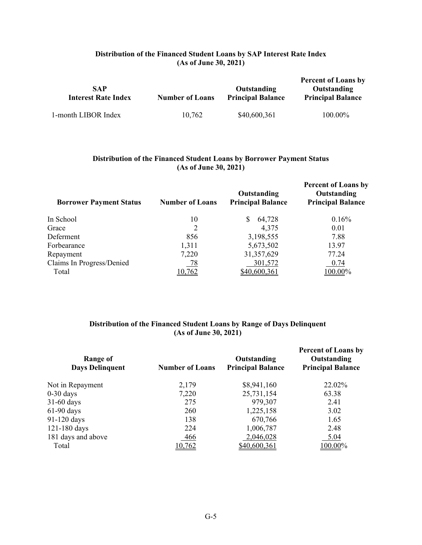# **Distribution of the Financed Student Loans by SAP Interest Rate Index (As of June 30, 2021)**

| <b>SAP</b><br><b>Interest Rate Index</b> | <b>Number of Loans</b> | Outstanding<br><b>Principal Balance</b> | <b>Percent of Loans by</b><br>Outstanding<br><b>Principal Balance</b> |
|------------------------------------------|------------------------|-----------------------------------------|-----------------------------------------------------------------------|
| 1-month LIBOR Index                      | 10,762                 | \$40,600,361                            | 100.00%                                                               |

### **Distribution of the Financed Student Loans by Borrower Payment Status (As of June 30, 2021)**

| <b>Borrower Payment Status</b> | <b>Number of Loans</b> | Outstanding<br><b>Principal Balance</b> | <b>Percent of Loans by</b><br>Outstanding<br><b>Principal Balance</b> |
|--------------------------------|------------------------|-----------------------------------------|-----------------------------------------------------------------------|
| In School                      | 10                     | 64,728<br>S                             | 0.16%                                                                 |
| Grace                          | 2                      | 4,375                                   | 0.01                                                                  |
| Deferment                      | 856                    | 3,198,555                               | 7.88                                                                  |
| Forbearance                    | 1,311                  | 5,673,502                               | 13.97                                                                 |
| Repayment                      | 7,220                  | 31,357,629                              | 77.24                                                                 |
| Claims In Progress/Denied      | 78                     | 301,572                                 | 0.74                                                                  |
| Total                          | 10,762                 | \$40,600,361                            | 100.00%                                                               |

# **Distribution of the Financed Student Loans by Range of Days Delinquent (As of June 30, 2021)**

| Range of<br><b>Days Delinquent</b> | <b>Number of Loans</b> | Outstanding<br><b>Principal Balance</b> | <b>Percent of Loans by</b><br>Outstanding<br><b>Principal Balance</b> |
|------------------------------------|------------------------|-----------------------------------------|-----------------------------------------------------------------------|
| Not in Repayment                   | 2,179                  | \$8,941,160                             | 22.02%                                                                |
| $0-30$ days                        | 7,220                  | 25,731,154                              | 63.38                                                                 |
| $31-60$ days                       | 275                    | 979,307                                 | 2.41                                                                  |
| $61-90$ days                       | 260                    | 1,225,158                               | 3.02                                                                  |
| 91-120 days                        | 138                    | 670,766                                 | 1.65                                                                  |
| 121-180 days                       | 224                    | 1,006,787                               | 2.48                                                                  |
| 181 days and above                 | 466                    | 2,046,028                               | 5.04                                                                  |
| Total                              | 10,762                 | \$40,600,361                            | 100.00%                                                               |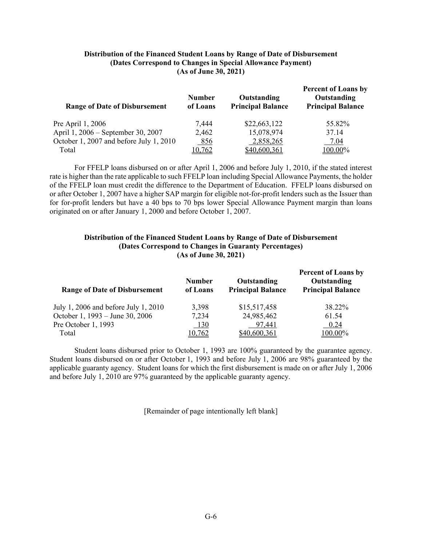#### **Distribution of the Financed Student Loans by Range of Date of Disbursement (Dates Correspond to Changes in Special Allowance Payment) (As of June 30, 2021)**

| <b>Range of Date of Disbursement</b>    | <b>Number</b><br>of Loans | Outstanding<br><b>Principal Balance</b> | <b>Percent of Loans by</b><br>Outstanding<br><b>Principal Balance</b> |
|-----------------------------------------|---------------------------|-----------------------------------------|-----------------------------------------------------------------------|
| Pre April 1, 2006                       | 7,444                     | \$22,663,122                            | 55.82%                                                                |
| April 1, 2006 – September 30, 2007      | 2,462                     | 15,078,974                              | 37.14                                                                 |
| October 1, 2007 and before July 1, 2010 | 856                       | 2,858,265                               | 7.04                                                                  |
| Total                                   | 10,762                    | \$40,600,361                            | 100.00%                                                               |

For FFELP loans disbursed on or after April 1, 2006 and before July 1, 2010, if the stated interest rate is higher than the rate applicable to such FFELP loan including Special Allowance Payments, the holder of the FFELP loan must credit the difference to the Department of Education. FFELP loans disbursed on or after October 1, 2007 have a higher SAP margin for eligible not-for-profit lenders such as the Issuer than for for-profit lenders but have a 40 bps to 70 bps lower Special Allowance Payment margin than loans originated on or after January 1, 2000 and before October 1, 2007.

#### **Distribution of the Financed Student Loans by Range of Date of Disbursement (Dates Correspond to Changes in Guaranty Percentages) (As of June 30, 2021)**

| <b>Range of Date of Disbursement</b> | <b>Number</b><br>of Loans | Outstanding<br><b>Principal Balance</b> | <b>Percent of Loans by</b><br>Outstanding<br><b>Principal Balance</b> |
|--------------------------------------|---------------------------|-----------------------------------------|-----------------------------------------------------------------------|
| July 1, 2006 and before July 1, 2010 | 3,398                     | \$15,517,458                            | 38.22%                                                                |
| October 1, 1993 – June 30, 2006      | 7,234                     | 24,985,462                              | 61.54                                                                 |
| Pre October 1, 1993                  | <b>130</b>                | 97,441                                  | 0.24                                                                  |
| Total                                | 10,762                    | \$40,600,361                            | 100.00%                                                               |

Student loans disbursed prior to October 1, 1993 are 100% guaranteed by the guarantee agency. Student loans disbursed on or after October 1, 1993 and before July 1, 2006 are 98% guaranteed by the applicable guaranty agency. Student loans for which the first disbursement is made on or after July 1, 2006 and before July 1, 2010 are 97% guaranteed by the applicable guaranty agency.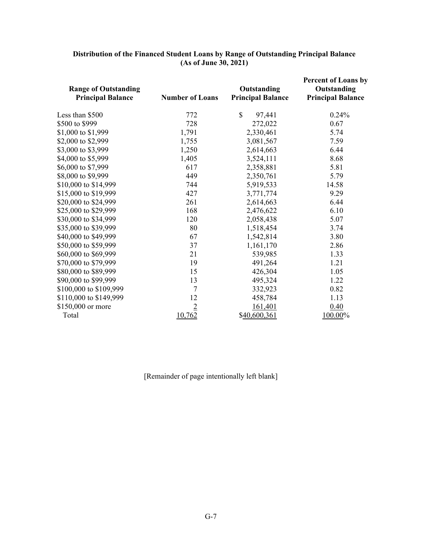| <b>Range of Outstanding</b><br><b>Principal Balance</b> | <b>Number of Loans</b> | Outstanding<br><b>Principal Balance</b> | <b>Percent of Loans by</b><br>Outstanding<br><b>Principal Balance</b> |
|---------------------------------------------------------|------------------------|-----------------------------------------|-----------------------------------------------------------------------|
| Less than \$500                                         | 772                    | \$<br>97,441                            | 0.24%                                                                 |
| \$500 to \$999                                          | 728                    | 272,022                                 | 0.67                                                                  |
| \$1,000 to \$1,999                                      | 1,791                  | 2,330,461                               | 5.74                                                                  |
| \$2,000 to \$2,999                                      | 1,755                  | 3,081,567                               | 7.59                                                                  |
| \$3,000 to \$3,999                                      | 1,250                  | 2,614,663                               | 6.44                                                                  |
| \$4,000 to \$5,999                                      | 1,405                  | 3,524,111                               | 8.68                                                                  |
| \$6,000 to \$7,999                                      | 617                    | 2,358,881                               | 5.81                                                                  |
| \$8,000 to \$9,999                                      | 449                    | 2,350,761                               | 5.79                                                                  |
| \$10,000 to \$14,999                                    | 744                    | 5,919,533                               | 14.58                                                                 |
| \$15,000 to \$19,999                                    | 427                    | 3,771,774                               | 9.29                                                                  |
| \$20,000 to \$24,999                                    | 261                    | 2,614,663                               | 6.44                                                                  |
| \$25,000 to \$29,999                                    | 168                    | 2,476,622                               | 6.10                                                                  |
| \$30,000 to \$34,999                                    | 120                    | 2,058,438                               | 5.07                                                                  |
| \$35,000 to \$39,999                                    | 80                     | 1,518,454                               | 3.74                                                                  |
| \$40,000 to \$49,999                                    | 67                     | 1,542,814                               | 3.80                                                                  |
| \$50,000 to \$59,999                                    | 37                     | 1,161,170                               | 2.86                                                                  |
| \$60,000 to \$69,999                                    | 21                     | 539,985                                 | 1.33                                                                  |
| \$70,000 to \$79,999                                    | 19                     | 491,264                                 | 1.21                                                                  |
| \$80,000 to \$89,999                                    | 15                     | 426,304                                 | 1.05                                                                  |
| \$90,000 to \$99,999                                    | 13                     | 495,324                                 | 1.22                                                                  |
| \$100,000 to \$109,999                                  | 7                      | 332,923                                 | 0.82                                                                  |
| \$110,000 to \$149,999                                  | 12                     | 458,784                                 | 1.13                                                                  |
| \$150,000 or more                                       | $\overline{2}$         | 161,401                                 | 0.40                                                                  |
| Total                                                   | 10,762                 | \$40,600,361                            | 100.00%                                                               |

### **Distribution of the Financed Student Loans by Range of Outstanding Principal Balance (As of June 30, 2021)**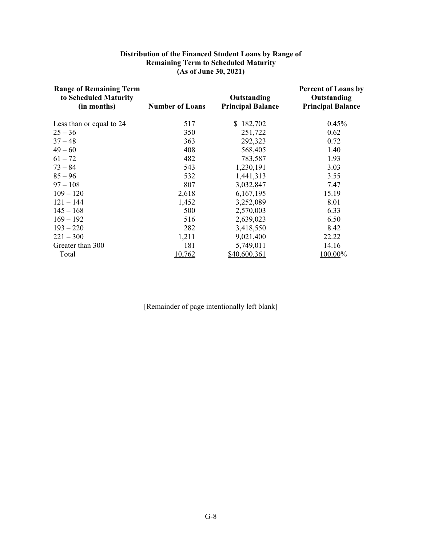#### **Distribution of the Financed Student Loans by Range of Remaining Term to Scheduled Maturity (As of June 30, 2021)**

| <b>Range of Remaining Term</b><br>to Scheduled Maturity<br>(in months) | <b>Number of Loans</b> | Outstanding<br><b>Principal Balance</b> | <b>Percent of Loans by</b><br>Outstanding<br><b>Principal Balance</b> |
|------------------------------------------------------------------------|------------------------|-----------------------------------------|-----------------------------------------------------------------------|
|                                                                        |                        |                                         |                                                                       |
| Less than or equal to 24                                               | 517                    | \$182,702                               | 0.45%                                                                 |
| $25 - 36$                                                              | 350                    | 251,722                                 | 0.62                                                                  |
| $37 - 48$                                                              | 363                    | 292,323                                 | 0.72                                                                  |
| $49 - 60$                                                              | 408                    | 568,405                                 | 1.40                                                                  |
| $61 - 72$                                                              | 482                    | 783,587                                 | 1.93                                                                  |
| $73 - 84$                                                              | 543                    | 1,230,191                               | 3.03                                                                  |
| $85 - 96$                                                              | 532                    | 1,441,313                               | 3.55                                                                  |
| $97 - 108$                                                             | 807                    | 3,032,847                               | 7.47                                                                  |
| $109 - 120$                                                            | 2,618                  | 6,167,195                               | 15.19                                                                 |
| $121 - 144$                                                            | 1,452                  | 3,252,089                               | 8.01                                                                  |
| $145 - 168$                                                            | 500                    | 2,570,003                               | 6.33                                                                  |
| $169 - 192$                                                            | 516                    | 2,639,023                               | 6.50                                                                  |
| $193 - 220$                                                            | 282                    | 3,418,550                               | 8.42                                                                  |
| $221 - 300$                                                            | 1,211                  | 9,021,400                               | 22.22                                                                 |
| Greater than 300                                                       | 181                    | 5,749,011                               | 14.16                                                                 |
| Total                                                                  | 10,762                 | \$40,600,361                            | $100.00\%$                                                            |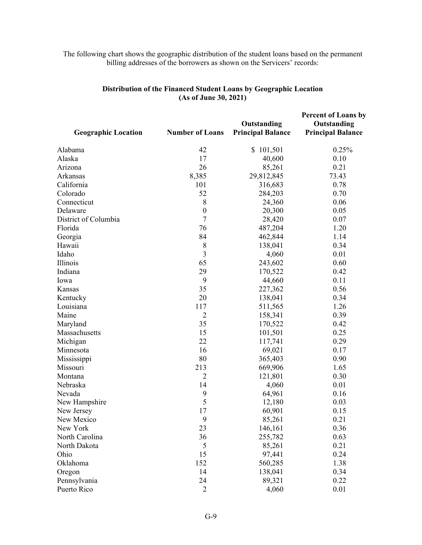# The following chart shows the geographic distribution of the student loans based on the permanent billing addresses of the borrowers as shown on the Servicers' records:

| <b>Geographic Location</b> | <b>Number of Loans</b> | Outstanding<br><b>Principal Balance</b> | <b>Percent of Loans by</b><br>Outstanding<br><b>Principal Balance</b> |
|----------------------------|------------------------|-----------------------------------------|-----------------------------------------------------------------------|
| Alabama                    | 42                     | \$101,501                               | 0.25%                                                                 |
| Alaska                     | 17                     | 40,600                                  | 0.10                                                                  |
| Arizona                    | 26                     | 85,261                                  | 0.21                                                                  |
| Arkansas                   | 8,385                  | 29,812,845                              | 73.43                                                                 |
| California                 | 101                    | 316,683                                 | 0.78                                                                  |
| Colorado                   | 52                     | 284,203                                 | 0.70                                                                  |
| Connecticut                | 8                      | 24,360                                  | 0.06                                                                  |
| Delaware                   | $\boldsymbol{0}$       | 20,300                                  | 0.05                                                                  |
| District of Columbia       | $\overline{7}$         | 28,420                                  | 0.07                                                                  |
| Florida                    | 76                     | 487,204                                 | 1.20                                                                  |
| Georgia                    | 84                     | 462,844                                 | 1.14                                                                  |
| Hawaii                     | 8                      | 138,041                                 | 0.34                                                                  |
| Idaho                      | 3                      | 4,060                                   | 0.01                                                                  |
| Illinois                   | 65                     | 243,602                                 | 0.60                                                                  |
| Indiana                    | 29                     | 170,522                                 | 0.42                                                                  |
| Iowa                       | 9                      | 44,660                                  | 0.11                                                                  |
| Kansas                     | 35                     | 227,362                                 | 0.56                                                                  |
| Kentucky                   | 20                     | 138,041                                 | 0.34                                                                  |
| Louisiana                  | 117                    | 511,565                                 | 1.26                                                                  |
| Maine                      | $\overline{2}$         | 158,341                                 | 0.39                                                                  |
| Maryland                   | 35                     | 170,522                                 | 0.42                                                                  |
| Massachusetts              | 15                     | 101,501                                 | 0.25                                                                  |
| Michigan                   | 22                     | 117,741                                 | 0.29                                                                  |
| Minnesota                  | 16                     | 69,021                                  | 0.17                                                                  |
| Mississippi                | 80                     | 365,403                                 | 0.90                                                                  |
| Missouri                   | 213                    | 669,906                                 | 1.65                                                                  |
| Montana                    | $\overline{2}$         | 121,801                                 | 0.30                                                                  |
| Nebraska                   | 14                     | 4,060                                   | 0.01                                                                  |
| Nevada                     | 9                      | 64,961                                  | 0.16                                                                  |
| New Hampshire              | 5                      | 12,180                                  | 0.03                                                                  |
| New Jersey                 | 17                     | 60,901                                  | 0.15                                                                  |
| New Mexico                 | 9                      | 85,261                                  | 0.21                                                                  |
| New York                   | 23                     | 146,161                                 | 0.36                                                                  |
| North Carolina             | 36                     | 255,782                                 | 0.63                                                                  |
| North Dakota               | 5                      | 85,261                                  | 0.21                                                                  |
| Ohio                       | 15                     | 97,441                                  | 0.24                                                                  |
| Oklahoma                   | 152                    | 560,285                                 | 1.38                                                                  |
| Oregon                     | 14                     | 138,041                                 | 0.34                                                                  |
| Pennsylvania               | 24                     | 89,321                                  | 0.22                                                                  |
| Puerto Rico                | $\overline{2}$         | 4,060                                   | 0.01                                                                  |

# **Distribution of the Financed Student Loans by Geographic Location (As of June 30, 2021)**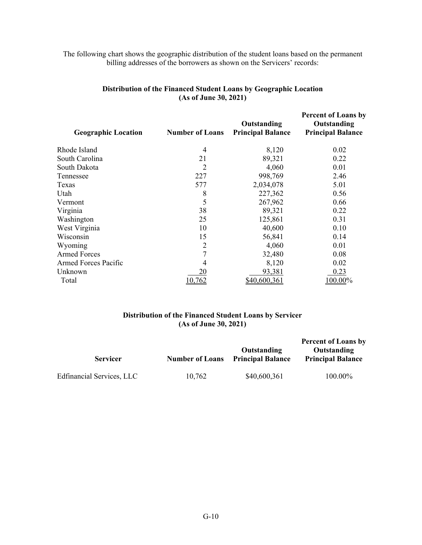# The following chart shows the geographic distribution of the student loans based on the permanent billing addresses of the borrowers as shown on the Servicers' records:

| <b>Geographic Location</b>  | <b>Number of Loans</b> | Outstanding<br><b>Principal Balance</b> | <b>Percent of Loans by</b><br>Outstanding<br><b>Principal Balance</b> |
|-----------------------------|------------------------|-----------------------------------------|-----------------------------------------------------------------------|
| Rhode Island                | 4                      | 8,120                                   | 0.02                                                                  |
| South Carolina              | 21                     | 89,321                                  | 0.22                                                                  |
| South Dakota                | 2                      | 4,060                                   | 0.01                                                                  |
| Tennessee                   | 227                    | 998,769                                 | 2.46                                                                  |
| Texas                       | 577                    | 2,034,078                               | 5.01                                                                  |
| Utah                        | 8                      | 227,362                                 | 0.56                                                                  |
| Vermont                     | 5                      | 267,962                                 | 0.66                                                                  |
| Virginia                    | 38                     | 89,321                                  | 0.22                                                                  |
| Washington                  | 25                     | 125,861                                 | 0.31                                                                  |
| West Virginia               | 10                     | 40,600                                  | 0.10                                                                  |
| Wisconsin                   | 15                     | 56,841                                  | 0.14                                                                  |
| Wyoming                     | 2                      | 4,060                                   | 0.01                                                                  |
| <b>Armed Forces</b>         |                        | 32,480                                  | 0.08                                                                  |
| <b>Armed Forces Pacific</b> | 4                      | 8,120                                   | 0.02                                                                  |
| Unknown                     | 20                     | 93,381                                  | 0.23                                                                  |
| Total                       | 10,762                 | \$40,600,361                            | 100.00%                                                               |

# **Distribution of the Financed Student Loans by Geographic Location (As of June 30, 2021)**

### **Distribution of the Financed Student Loans by Servicer (As of June 30, 2021)**

|                           |                        |                                         | <b>Percent of Loans by</b>              |  |
|---------------------------|------------------------|-----------------------------------------|-----------------------------------------|--|
| <b>Servicer</b>           | <b>Number of Loans</b> | Outstanding<br><b>Principal Balance</b> | Outstanding<br><b>Principal Balance</b> |  |
| Edfinancial Services, LLC | 10.762                 | \$40,600,361                            | 100.00%                                 |  |